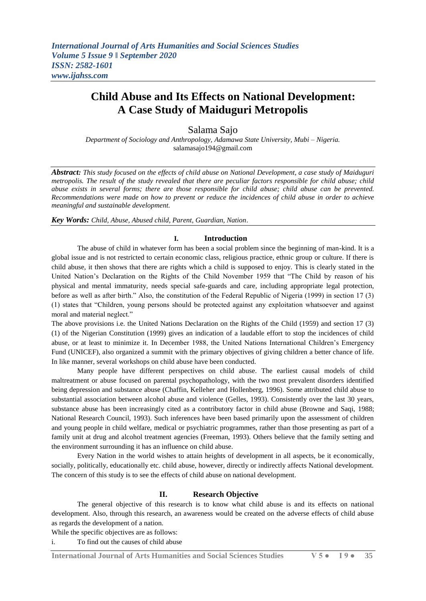# **Child Abuse and Its Effects on National Development: A Case Study of Maiduguri Metropolis**

Salama Sajo

*Department of Sociology and Anthropology, Adamawa State University, Mubi – Nigeria.* salamasajo194@gmail.com

*Abstract: This study focused on the effects of child abuse on National Development, a case study of Maiduguri metropolis. The result of the study revealed that there are peculiar factors responsible for child abuse; child abuse exists in several forms; there are those responsible for child abuse; child abuse can be prevented. Recommendations were made on how to prevent or reduce the incidences of child abuse in order to achieve meaningful and sustainable development.*

*Key Words: Child, Abuse, Abused child, Parent, Guardian, Nation*.

# **I. Introduction**

The abuse of child in whatever form has been a social problem since the beginning of man-kind. It is a global issue and is not restricted to certain economic class, religious practice, ethnic group or culture. If there is child abuse, it then shows that there are rights which a child is supposed to enjoy. This is clearly stated in the United Nation"s Declaration on the Rights of the Child November 1959 that "The Child by reason of his physical and mental immaturity, needs special safe-guards and care, including appropriate legal protection, before as well as after birth." Also, the constitution of the Federal Republic of Nigeria (1999) in section 17 (3) (1) states that "Children, young persons should be protected against any exploitation whatsoever and against moral and material neglect."

The above provisions i.e. the United Nations Declaration on the Rights of the Child (1959) and section 17 (3) (1) of the Nigerian Constitution (1999) gives an indication of a laudable effort to stop the incidences of child abuse, or at least to minimize it. In December 1988, the United Nations International Children"s Emergency Fund (UNICEF), also organized a summit with the primary objectives of giving children a better chance of life. In like manner, several workshops on child abuse have been conducted.

 Many people have different perspectives on child abuse. The earliest causal models of child maltreatment or abuse focused on parental psychopathology, with the two most prevalent disorders identified being depression and substance abuse (Chaffin, Kelleher and Hollenberg, 1996). Some attributed child abuse to substantial association between alcohol abuse and violence (Gelles, 1993). Consistently over the last 30 years, substance abuse has been increasingly cited as a contributory factor in child abuse (Browne and Saqi, 1988; National Research Council, 1993). Such inferences have been based primarily upon the assessment of children and young people in child welfare, medical or psychiatric programmes, rather than those presenting as part of a family unit at drug and alcohol treatment agencies (Freeman, 1993). Others believe that the family setting and the environment surrounding it has an influence on child abuse.

 Every Nation in the world wishes to attain heights of development in all aspects, be it economically, socially, politically, educationally etc. child abuse, however, directly or indirectly affects National development. The concern of this study is to see the effects of child abuse on national development.

# **II. Research Objective**

The general objective of this research is to know what child abuse is and its effects on national development. Also, through this research, an awareness would be created on the adverse effects of child abuse as regards the development of a nation.

While the specific objectives are as follows:

i. To find out the causes of child abuse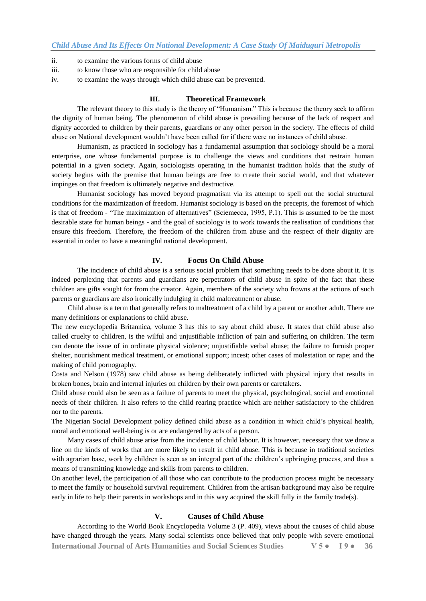- ii. to examine the various forms of child abuse
- iii. to know those who are responsible for child abuse
- iv. to examine the ways through which child abuse can be prevented.

## **III. Theoretical Framework**

The relevant theory to this study is the theory of "Humanism." This is because the theory seek to affirm the dignity of human being. The phenomenon of child abuse is prevailing because of the lack of respect and dignity accorded to children by their parents, guardians or any other person in the society. The effects of child abuse on National development wouldn"t have been called for if there were no instances of child abuse.

Humanism, as practiced in sociology has a fundamental assumption that sociology should be a moral enterprise, one whose fundamental purpose is to challenge the views and conditions that restrain human potential in a given society. Again, sociologists operating in the humanist tradition holds that the study of society begins with the premise that human beings are free to create their social world, and that whatever impinges on that freedom is ultimately negative and destructive.

Humanist sociology has moved beyond pragmatism via its attempt to spell out the social structural conditions for the maximization of freedom. Humanist sociology is based on the precepts, the foremost of which is that of freedom - "The maximization of alternatives" (Sciemecca, 1995, P.1). This is assumed to be the most desirable state for human beings - and the goal of sociology is to work towards the realisation of conditions that ensure this freedom. Therefore, the freedom of the children from abuse and the respect of their dignity are essential in order to have a meaningful national development.

#### **IV. Focus On Child Abuse**

The incidence of child abuse is a serious social problem that something needs to be done about it. It is indeed perplexing that parents and guardians are perpetrators of child abuse in spite of the fact that these children are gifts sought for from the creator. Again, members of the society who frowns at the actions of such parents or guardians are also ironically indulging in child maltreatment or abuse.

 Child abuse is a term that generally refers to maltreatment of a child by a parent or another adult. There are many definitions or explanations to child abuse.

The new encyclopedia Britannica, volume 3 has this to say about child abuse. It states that child abuse also called cruelty to children, is the wilful and unjustifiable infliction of pain and suffering on children. The term can denote the issue of in ordinate physical violence; unjustifiable verbal abuse; the failure to furnish proper shelter, nourishment medical treatment, or emotional support; incest; other cases of molestation or rape; and the making of child pornography.

Costa and Nelson (1978) saw child abuse as being deliberately inflicted with physical injury that results in broken bones, brain and internal injuries on children by their own parents or caretakers.

Child abuse could also be seen as a failure of parents to meet the physical, psychological, social and emotional needs of their children. It also refers to the child rearing practice which are neither satisfactory to the children nor to the parents.

The Nigerian Social Development policy defined child abuse as a condition in which child"s physical health, moral and emotional well-being is or are endangered by acts of a person.

 Many cases of child abuse arise from the incidence of child labour. It is however, necessary that we draw a line on the kinds of works that are more likely to result in child abuse. This is because in traditional societies with agrarian base, work by children is seen as an integral part of the children's upbringing process, and thus a means of transmitting knowledge and skills from parents to children.

On another level, the participation of all those who can contribute to the production process might be necessary to meet the family or household survival requirement. Children from the artisan background may also be require early in life to help their parents in workshops and in this way acquired the skill fully in the family trade(s).

## **V. Causes of Child Abuse**

According to the World Book Encyclopedia Volume 3 (P. 409), views about the causes of child abuse have changed through the years. Many social scientists once believed that only people with severe emotional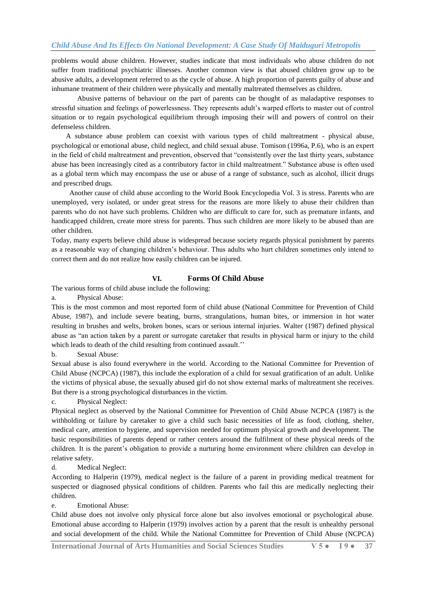problems would abuse children. However, studies indicate that most individuals who abuse children do not suffer from traditional psychiatric illnesses. Another common view is that abused children grow up to be abusive adults, a development referred to as the cycle of abuse. A high proportion of parents guilty of abuse and inhumane treatment of their children were physically and mentally maltreated themselves as children.

Abusive patterns of behaviour on the part of parents can be thought of as maladaptive responses to stressful situation and feelings of powerlessness. They represents adult"s warped efforts to master out of control situation or to regain psychological equilibrium through imposing their will and powers of control on their defenseless children.

 A substance abuse problem can coexist with various types of child maltreatment - physical abuse, psychological or emotional abuse, child neglect, and child sexual abuse. Tomison (1996a, P.6), who is an expert in the field of child maltreatment and prevention, observed that "consistently over the last thirty years, substance abuse has been increasingly cited as a contributory factor in child maltreatment." Substance abuse is often used as a global term which may encompass the use or abuse of a range of substance, such as alcohol, illicit drugs and prescribed drugs.

 Another cause of child abuse according to the World Book Encyclopedia Vol. 3 is stress. Parents who are unemployed, very isolated, or under great stress for the reasons are more likely to abuse their children than parents who do not have such problems. Children who are difficult to care for, such as premature infants, and handicapped children, create more stress for parents. Thus such children are more likely to be abused than are other children.

Today, many experts believe child abuse is widespread because society regards physical punishment by parents as a reasonable way of changing children"s behaviour. Thus adults who hurt children sometimes only intend to correct them and do not realize how easily children can be injured.

## **VI. Forms Of Child Abuse**

The various forms of child abuse include the following:

a. Physical Abuse:

This is the most common and most reported form of child abuse (National Committee for Prevention of Child Abuse, 1987), and include severe beating, burns, strangulations, human bites, or immersion in hot water resulting in brushes and welts, broken bones, scars or serious internal injuries. Walter (1987) defined physical abuse as "an action taken by a parent or surrogate caretaker that results in physical harm or injury to the child which leads to death of the child resulting from continued assault."

b. Sexual Abuse:

Sexual abuse is also found everywhere in the world. According to the National Committee for Prevention of Child Abuse (NCPCA) (1987), this include the exploration of a child for sexual gratification of an adult. Unlike the victims of physical abuse, the sexually abused girl do not show external marks of maltreatment she receives. But there is a strong psychological disturbances in the victim.

c. Physical Neglect:

Physical neglect as observed by the National Committee for Prevention of Child Abuse NCPCA (1987) is the withholding or failure by caretaker to give a child such basic necessities of life as food, clothing, shelter, medical care, attention to hygiene, and supervision needed for optimum physical growth and development. The basic responsibilities of parents depend or rather centers around the fulfilment of these physical needs of the children. It is the parent"s obligation to provide a nurturing home environment where children can develop in relative safety.

#### d. Medical Neglect:

According to Halperin (1979), medical neglect is the failure of a parent in providing medical treatment for suspected or diagnosed physical conditions of children. Parents who fail this are medically neglecting their children.

e. Emotional Abuse:

Child abuse does not involve only physical force alone but also involves emotional or psychological abuse. Emotional abuse according to Halperin (1979) involves action by a parent that the result is unhealthy personal and social development of the child. While the National Committee for Prevention of Child Abuse (NCPCA)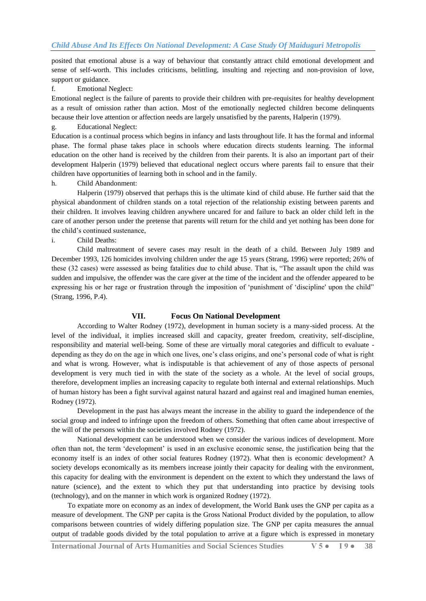posited that emotional abuse is a way of behaviour that constantly attract child emotional development and sense of self-worth. This includes criticisms, belittling, insulting and rejecting and non-provision of love, support or guidance.

# f. Emotional Neglect:

Emotional neglect is the failure of parents to provide their children with pre-requisites for healthy development as a result of omission rather than action. Most of the emotionally neglected children become delinquents because their love attention or affection needs are largely unsatisfied by the parents, Halperin (1979).

## g. Educational Neglect:

Education is a continual process which begins in infancy and lasts throughout life. It has the formal and informal phase. The formal phase takes place in schools where education directs students learning. The informal education on the other hand is received by the children from their parents. It is also an important part of their development Halperin (1979) believed that educational neglect occurs where parents fail to ensure that their children have opportunities of learning both in school and in the family.

## h. Child Abandonment:

Halperin (1979) observed that perhaps this is the ultimate kind of child abuse. He further said that the physical abandonment of children stands on a total rejection of the relationship existing between parents and their children. It involves leaving children anywhere uncared for and failure to back an older child left in the care of another person under the pretense that parents will return for the child and yet nothing has been done for the child"s continued sustenance,

#### i. Child Deaths:

Child maltreatment of severe cases may result in the death of a child. Between July 1989 and December 1993, 126 homicides involving children under the age 15 years (Strang, 1996) were reported; 26% of these (32 cases) were assessed as being fatalities due to child abuse. That is, "The assault upon the child was sudden and impulsive, the offender was the care giver at the time of the incident and the offender appeared to be expressing his or her rage or frustration through the imposition of "punishment of "discipline' upon the child" (Strang, 1996, P.4).

#### **VII. Focus On National Development**

 According to Walter Rodney (1972), development in human society is a many-sided process. At the level of the individual, it implies increased skill and capacity, greater freedom, creativity, self-discipline, responsibility and material well-being. Some of these are virtually moral categories and difficult to evaluate depending as they do on the age in which one lives, one's class origins, and one's personal code of what is right and what is wrong. However, what is indisputable is that achievement of any of those aspects of personal development is very much tied in with the state of the society as a whole. At the level of social groups, therefore, development implies an increasing capacity to regulate both internal and external relationships. Much of human history has been a fight survival against natural hazard and against real and imagined human enemies, Rodney (1972).

 Development in the past has always meant the increase in the ability to guard the independence of the social group and indeed to infringe upon the freedom of others. Something that often came about irrespective of the will of the persons within the societies involved Rodney (1972).

National development can be understood when we consider the various indices of development. More often than not, the term "development" is used in an exclusive economic sense, the justification being that the economy itself is an index of other social features Rodney (1972). What then is economic development? A society develops economically as its members increase jointly their capacity for dealing with the environment, this capacity for dealing with the environment is dependent on the extent to which they understand the laws of nature (science), and the extent to which they put that understanding into practice by devising tools (technology), and on the manner in which work is organized Rodney (1972).

 To expatiate more on economy as an index of development, the World Bank uses the GNP per capita as a measure of development. The GNP per capita is the Gross National Product divided by the population, to allow comparisons between countries of widely differing population size. The GNP per capita measures the annual output of tradable goods divided by the total population to arrive at a figure which is expressed in monetary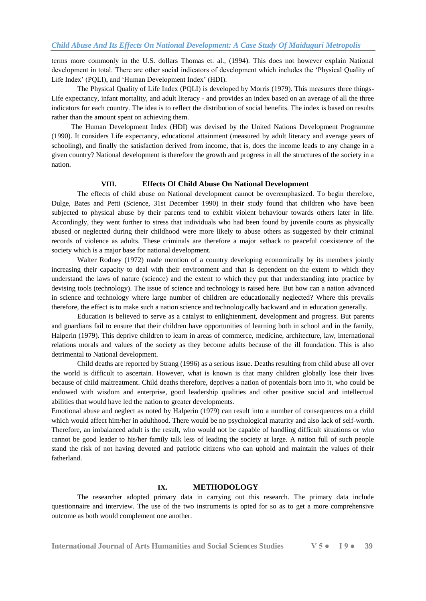terms more commonly in the U.S. dollars Thomas et. al., (1994). This does not however explain National development in total. There are other social indicators of development which includes the "Physical Quality of Life Index" (PQLI), and "Human Development Index" (HDI).

The Physical Quality of Life Index (PQLI) is developed by Morris (1979). This measures three things-Life expectancy, infant mortality, and adult literacy - and provides an index based on an average of all the three indicators for each country. The idea is to reflect the distribution of social benefits. The index is based on results rather than the amount spent on achieving them.

 The Human Development Index (HDI) was devised by the United Nations Development Programme (1990). It considers Life expectancy, educational attainment (measured by adult literacy and average years of schooling), and finally the satisfaction derived from income, that is, does the income leads to any change in a given country? National development is therefore the growth and progress in all the structures of the society in a nation.

#### **VIII. Effects Of Child Abuse On National Development**

 The effects of child abuse on National development cannot be overemphasized. To begin therefore, Dulge, Bates and Petti (Science, 31st December 1990) in their study found that children who have been subjected to physical abuse by their parents tend to exhibit violent behaviour towards others later in life. Accordingly, they went further to stress that individuals who had been found by juvenile courts as physically abused or neglected during their childhood were more likely to abuse others as suggested by their criminal records of violence as adults. These criminals are therefore a major setback to peaceful coexistence of the society which is a major base for national development.

 Walter Rodney (1972) made mention of a country developing economically by its members jointly increasing their capacity to deal with their environment and that is dependent on the extent to which they understand the laws of nature (science) and the extent to which they put that understanding into practice by devising tools (technology). The issue of science and technology is raised here. But how can a nation advanced in science and technology where large number of children are educationally neglected? Where this prevails therefore, the effect is to make such a nation science and technologically backward and in education generally.

Education is believed to serve as a catalyst to enlightenment, development and progress. But parents and guardians fail to ensure that their children have opportunities of learning both in school and in the family, Halperin (1979). This deprive children to learn in areas of commerce, medicine, architecture, law, international relations morals and values of the society as they become adults because of the ill foundation. This is also detrimental to National development.

 Child deaths are reported by Strang (1996) as a serious issue. Deaths resulting from child abuse all over the world is difficult to ascertain. However, what is known is that many children globally lose their lives because of child maltreatment. Child deaths therefore, deprives a nation of potentials born into it, who could be endowed with wisdom and enterprise, good leadership qualities and other positive social and intellectual abilities that would have led the nation to greater developments.

Emotional abuse and neglect as noted by Halperin (1979) can result into a number of consequences on a child which would affect him/her in adulthood. There would be no psychological maturity and also lack of self-worth. Therefore, an imbalanced adult is the result, who would not be capable of handling difficult situations or who cannot be good leader to his/her family talk less of leading the society at large. A nation full of such people stand the risk of not having devoted and patriotic citizens who can uphold and maintain the values of their fatherland.

# **IX. METHODOLOGY**

 The researcher adopted primary data in carrying out this research. The primary data include questionnaire and interview. The use of the two instruments is opted for so as to get a more comprehensive outcome as both would complement one another.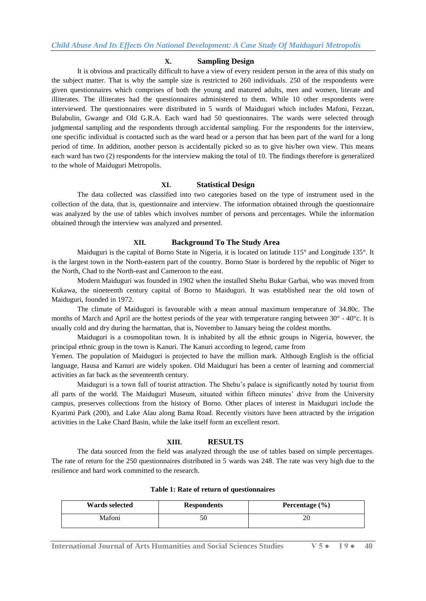### **X. Sampling Design**

It is obvious and practically difficult to have a view of every resident person in the area of this study on the subject matter. That is why the sample size is restricted to 260 individuals. 250 of the respondents were given questionnaires which comprises of both the young and matured adults, men and women, literate and illiterates. The illiterates had the questionnaires administered to them. While 10 other respondents were interviewed. The questionnaires were distributed in 5 wards of Maiduguri which includes Mafoni, Fezzan, Bulabulin, Gwange and Old G.R.A. Each ward had 50 questionnaires. The wards were selected through judgmental sampling and the respondents through accidental sampling. For the respondents for the interview, one specific individual is contacted such as the ward head or a person that has been part of the ward for a long period of time. In addition, another person is accidentally picked so as to give his/her own view. This means each ward has two (2) respondents for the interview making the total of 10. The findings therefore is generalized to the whole of Maiduguri Metropolis.

## **XI. Statistical Design**

The data collected was classified into two categories based on the type of instrument used in the collection of the data, that is, questionnaire and interview. The information obtained through the questionnaire was analyzed by the use of tables which involves number of persons and percentages. While the information obtained through the interview was analyzed and presented.

#### **XII. Background To The Study Area**

Maiduguri is the capital of Borno State in Nigeria, it is located on latitude 115° and Longitude 135°. It is the largest town in the North-eastern part of the country. Borno State is bordered by the republic of Niger to the North, Chad to the North-east and Cameroon to the east.

Modern Maiduguri was founded in 1902 when the installed Shehu Bukar Garbai, who was moved from Kukawa, the nineteenth century capital of Borno to Maiduguri. It was established near the old town of Maiduguri, founded in 1972.

The climate of Maiduguri is favourable with a mean annual maximum temperature of 34.80c. The months of March and April are the hottest periods of the year with temperature ranging between  $30^{\circ}$  -  $40^{\circ}$ c. It is usually cold and dry during the harmattan, that is, November to January being the coldest months.

Maiduguri is a cosmopolitan town. It is inhabited by all the ethnic groups in Nigeria, however, the principal ethnic group in the town is Kanuri. The Kanuri according to legend, came from

Yemen. The population of Maiduguri is projected to have the million mark. Although English is the official language, Hausa and Kanuri are widely spoken. Old Maiduguri has been a center of learning and commercial activities as far back as the seventeenth century.

Maiduguri is a town full of tourist attraction. The Shehu"s palace is significantly noted by tourist from all parts of the world. The Maiduguri Museum, situated within fifteen minutes" drive from the University campus, preserves collections from the history of Borno. Other places of interest in Maiduguri include the Kyarimi Park (200), and Lake Alau along Bama Road. Recently visitors have been attracted by the irrigation activities in the Lake Chard Basin, while the lake itself form an excellent resort.

# **XIII. RESULTS**

The data sourced from the field was analyzed through the use of tables based on simple percentages. The rate of return for the 250 questionnaires distributed in 5 wards was 248. The rate was very high due to the resilience and hard work committed to the research.

| Wards selected | <b>Respondents</b> | Percentage $(\% )$ |
|----------------|--------------------|--------------------|
| Mafoni         | ĆŪ                 |                    |

# **Table 1: Rate of return of questionnaires**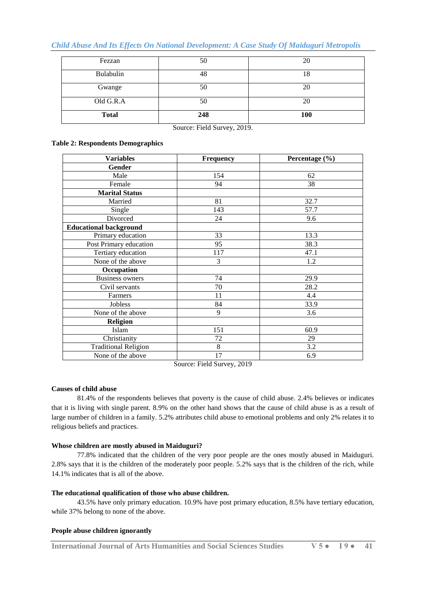# *Child Abuse And Its Effects On National Development: A Case Study Of Maiduguri Metropolis*

| Fezzan       | 50  | 20         |
|--------------|-----|------------|
| Bulabulin    | 48  | 18         |
| Gwange       | 50  | 20         |
| Old G.R.A    | 50  | 20         |
| <b>Total</b> | 248 | <b>100</b> |

Source: Field Survey, 2019.

## **Table 2: Respondents Demographics**

| <b>Variables</b>              | <b>Frequency</b> | Percentage (%) |
|-------------------------------|------------------|----------------|
| Gender                        |                  |                |
| Male                          | 154              | 62             |
| Female                        | 94               | 38             |
| <b>Marital Status</b>         |                  |                |
| Married                       | 81               | 32.7           |
| Single                        | 143              | 57.7           |
| Divorced                      | 24               | 9.6            |
| <b>Educational background</b> |                  |                |
| Primary education             | 33               | 13.3           |
| Post Primary education        | 95               | 38.3           |
| Tertiary education            | 117              | 47.1           |
| None of the above             | 3                | 1.2            |
| Occupation                    |                  |                |
| <b>Business owners</b>        | 74               | 29.9           |
| Civil servants                | 70               | 28.2           |
| Farmers                       | 11               | 4.4            |
| Jobless                       | 84               | 33.9           |
| None of the above             | 9                | 3.6            |
| <b>Religion</b>               |                  |                |
| Islam                         | 151              | 60.9           |
| Christianity                  | 72               | 29             |
| <b>Traditional Religion</b>   | $8\,$            | 3.2            |
| None of the above             | 17               | 6.9            |

Source: Field Survey, 2019

## **Causes of child abuse**

81.4% of the respondents believes that poverty is the cause of child abuse. 2.4% believes or indicates that it is living with single parent. 8.9% on the other hand shows that the cause of child abuse is as a result of large number of children in a family. 5.2% attributes child abuse to emotional problems and only 2% relates it to religious beliefs and practices.

## **Whose children are mostly abused in Maiduguri?**

77.8% indicated that the children of the very poor people are the ones mostly abused in Maiduguri. 2.8% says that it is the children of the moderately poor people. 5.2% says that is the children of the rich, while 14.1% indicates that is all of the above.

## **The educational qualification of those who abuse children.**

43.5% have only primary education. 10.9% have post primary education, 8.5% have tertiary education, while 37% belong to none of the above.

## **People abuse children ignorantly**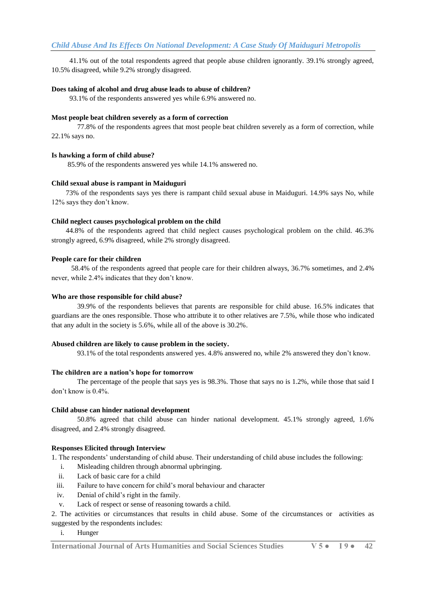41.1% out of the total respondents agreed that people abuse children ignorantly. 39.1% strongly agreed, 10.5% disagreed, while 9.2% strongly disagreed.

#### **Does taking of alcohol and drug abuse leads to abuse of children?**

93.1% of the respondents answered yes while 6.9% answered no.

#### **Most people beat children severely as a form of correction**

77.8% of the respondents agrees that most people beat children severely as a form of correction, while 22.1% says no.

## **Is hawking a form of child abuse?**

85.9% of the respondents answered yes while 14.1% answered no.

## **Child sexual abuse is rampant in Maiduguri**

 73% of the respondents says yes there is rampant child sexual abuse in Maiduguri. 14.9% says No, while 12% says they don"t know.

#### **Child neglect causes psychological problem on the child**

 44.8% of the respondents agreed that child neglect causes psychological problem on the child. 46.3% strongly agreed, 6.9% disagreed, while 2% strongly disagreed.

#### **People care for their children**

 58.4% of the respondents agreed that people care for their children always, 36.7% sometimes, and 2.4% never, while 2.4% indicates that they don"t know.

#### **Who are those responsible for child abuse?**

39.9% of the respondents believes that parents are responsible for child abuse. 16.5% indicates that guardians are the ones responsible. Those who attribute it to other relatives are 7.5%, while those who indicated that any adult in the society is 5.6%, while all of the above is 30.2%.

#### **Abused children are likely to cause problem in the society.**

93.1% of the total respondents answered yes. 4.8% answered no, while 2% answered they don"t know.

#### **The children are a nation's hope for tomorrow**

The percentage of the people that says yes is 98.3%. Those that says no is 1.2%, while those that said I don"t know is 0.4%.

## **Child abuse can hinder national development**

50.8% agreed that child abuse can hinder national development. 45.1% strongly agreed, 1.6% disagreed, and 2.4% strongly disagreed.

### **Responses Elicited through Interview**

1. The respondents" understanding of child abuse. Their understanding of child abuse includes the following:

- i. Misleading children through abnormal upbringing.
- ii. Lack of basic care for a child
- iii. Failure to have concern for child"s moral behaviour and character
- iv. Denial of child"s right in the family.
- v. Lack of respect or sense of reasoning towards a child.

2. The activities or circumstances that results in child abuse. Some of the circumstances or activities as suggested by the respondents includes:

## i. Hunger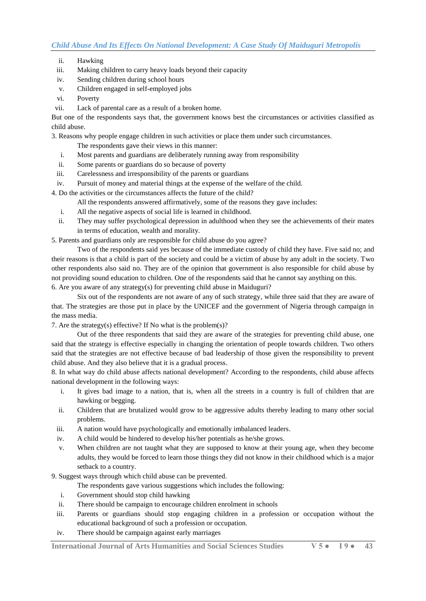- ii. Hawking
- iii. Making children to carry heavy loads beyond their capacity
- iv. Sending children during school hours
- v. Children engaged in self-employed jobs
- vi. Poverty
- vii. Lack of parental care as a result of a broken home.

But one of the respondents says that, the government knows best the circumstances or activities classified as child abuse.

3. Reasons why people engage children in such activities or place them under such circumstances.

- The respondents gave their views in this manner:
- i. Most parents and guardians are deliberately running away from responsibility
- ii. Some parents or guardians do so because of poverty
- iii. Carelessness and irresponsibility of the parents or guardians
- iv. Pursuit of money and material things at the expense of the welfare of the child.

4. Do the activities or the circumstances affects the future of the child?

- All the respondents answered affirmatively, some of the reasons they gave includes:
- i. All the negative aspects of social life is learned in childhood.
- ii. They may suffer psychological depression in adulthood when they see the achievements of their mates in terms of education, wealth and morality.

5. Parents and guardians only are responsible for child abuse do you agree?

Two of the respondents said yes because of the immediate custody of child they have. Five said no; and their reasons is that a child is part of the society and could be a victim of abuse by any adult in the society. Two other respondents also said no. They are of the opinion that government is also responsible for child abuse by not providing sound education to children. One of the respondents said that he cannot say anything on this. 6. Are you aware of any strategy(s) for preventing child abuse in Maiduguri?

Six out of the respondents are not aware of any of such strategy, while three said that they are aware of

that. The strategies are those put in place by the UNICEF and the government of Nigeria through campaign in the mass media.

7. Are the strategy(s) effective? If No what is the problem(s)?

Out of the three respondents that said they are aware of the strategies for preventing child abuse, one said that the strategy is effective especially in changing the orientation of people towards children. Two others said that the strategies are not effective because of bad leadership of those given the responsibility to prevent child abuse. And they also believe that it is a gradual process.

8. In what way do child abuse affects national development? According to the respondents, child abuse affects national development in the following ways:

- i. It gives bad image to a nation, that is, when all the streets in a country is full of children that are hawking or begging.
- ii. Children that are brutalized would grow to be aggressive adults thereby leading to many other social problems.
- iii. A nation would have psychologically and emotionally imbalanced leaders.
- iv. A child would be hindered to develop his/her potentials as he/she grows.
- v. When children are not taught what they are supposed to know at their young age, when they become adults, they would be forced to learn those things they did not know in their childhood which is a major setback to a country.
- 9. Suggest ways through which child abuse can be prevented.
	- The respondents gave various suggestions which includes the following:
	- i. Government should stop child hawking
	- ii. There should be campaign to encourage children enrolment in schools
	- iii. Parents or guardians should stop engaging children in a profession or occupation without the educational background of such a profession or occupation.
	- iv. There should be campaign against early marriages